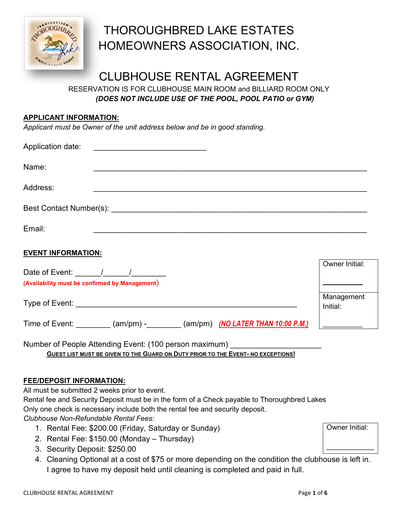

# THOROUGHBRED LAKE ESTATES HOMEOWNERS ASSOCIATION, INC.

## CLUBHOUSE RENTAL AGREEMENT

RESERVATION IS FOR CLUBHOUSE MAIN ROOM and BILLIARD ROOM ONLY *(DOES NOT INCLUDE USE OF THE POOL, POOL PATIO or GYM)* 

#### **APPLICANT INFORMATION:**

*Applicant must be Owner of the unit address below and be in good standing.*

| Application date:                                                                                                                                                                                                              |                        |
|--------------------------------------------------------------------------------------------------------------------------------------------------------------------------------------------------------------------------------|------------------------|
| Name:                                                                                                                                                                                                                          |                        |
| Address:                                                                                                                                                                                                                       |                        |
|                                                                                                                                                                                                                                |                        |
| Email:                                                                                                                                                                                                                         |                        |
| <b>EVENT INFORMATION:</b>                                                                                                                                                                                                      |                        |
| (Availability must be confirmed by Management)                                                                                                                                                                                 | Owner Initial:         |
| Type of Event: New York Street, New York Street, New York Street, New York Street, New York Street, New York Street, New York Street, New York Street, New York Street, New York Street, New York Street, New York Street, New | Management<br>Initial: |
| Time of Event: (am/pm) - (am/pm) (MO LATER THAN 10:00 P.M.)                                                                                                                                                                    |                        |
|                                                                                                                                                                                                                                |                        |

Number of People Attending Event: (100 person maximum) **GUEST LIST MUST BE GIVEN TO THE GUARD ON DUTY PRIOR TO THE EVENT- NO EXCEPTIONS!** 

#### **FEE/DEPOSIT INFORMATION:**

All must be submitted 2 weeks prior to event.

Rental fee and Security Deposit must be in the form of a Check payable to Thoroughbred Lakes Only one check is necessary include both the rental fee and security deposit.

*Clubhouse Non-Refundable Rental Fees:*

- 1. Rental Fee: \$200.00 (Friday, Saturday or Sunday)
- 2. Rental Fee: \$150.00 (Monday Thursday)
- 3. Security Deposit: \$250.00
- 4. Cleaning Optional at a cost of \$75 or more depending on the condition the clubhouse is left in. I agree to have my deposit held until cleaning is completed and paid in full.

Owner Initial:

 $\frac{1}{2}$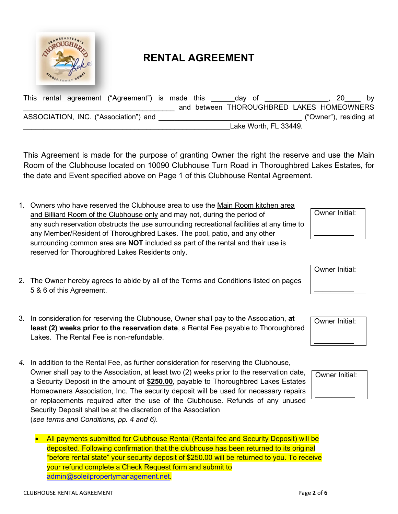

### **RENTAL AGREEMENT**

| <b>This</b> |  | rental agreement ("Agreement") is made this |  | day of |                                           |                        | bv |
|-------------|--|---------------------------------------------|--|--------|-------------------------------------------|------------------------|----|
|             |  |                                             |  |        | and between THOROUGHBRED LAKES HOMEOWNERS |                        |    |
|             |  | ASSOCIATION, INC. ("Association") and       |  |        |                                           | ("Owner"), residing at |    |
|             |  |                                             |  |        | Lake Worth, FL 33449.                     |                        |    |

This Agreement is made for the purpose of granting Owner the right the reserve and use the Main Room of the Clubhouse located on 10090 Clubhouse Turn Road in Thoroughbred Lakes Estates, for the date and Event specified above on Page 1 of this Clubhouse Rental Agreement.

- 1. Owners who have reserved the Clubhouse area to use the Main Room kitchen area and Billiard Room of the Clubhouse only and may not, during the period of any such reservation obstructs the use surrounding recreational facilities at any time to any Member/Resident of Thoroughbred Lakes. The pool, patio, and any other surrounding common area are **NOT** included as part of the rental and their use is reserved for Thoroughbred Lakes Residents only.
- 2. The Owner hereby agrees to abide by all of the Terms and Conditions listed on pages 5 & 6 of this Agreement.
- 3. In consideration for reserving the Clubhouse, Owner shall pay to the Association, **at least (2) weeks prior to the reservation date**, a Rental Fee payable to Thoroughbred Lakes. The Rental Fee is non-refundable.
- *4.* In addition to the Rental Fee, as further consideration for reserving the Clubhouse, Owner shall pay to the Association, at least two (2) weeks prior to the reservation date, a Security Deposit in the amount of **\$250.00**, payable to Thoroughbred Lakes Estates Homeowners Association, Inc. The security deposit will be used for necessary repairs or replacements required after the use of the Clubhouse. Refunds of any unused Security Deposit shall be at the discretion of the Association (*see terms and Conditions, pp. 4 and 6).*
	- All payments submitted for Clubhouse Rental (Rental fee and Security Deposit) will be deposited. Following confirmation that the clubhouse has been returned to its original "before rental state" your security deposit of \$250.00 will be returned to you. To receive your refund complete a Check Request form and submit to [admin@soleilpropertymanagement.net.](mailto:admin@soleilpropertymanagement.net)

 $\overline{\phantom{a}}$ 



 $\mathcal{L}_\text{max}$ 

Owner Initial:

 $\frac{1}{2}$ 

Owner Initial:

 $\overline{\phantom{a}}$ 

Owner Initial: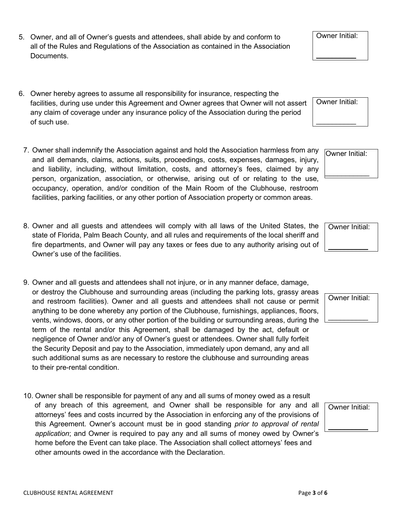- 5. Owner, and all of Owner's guests and attendees, shall abide by and conform to all of the Rules and Regulations of the Association as contained in the Association Documents.
- 6. Owner hereby agrees to assume all responsibility for insurance, respecting the facilities, during use under this Agreement and Owner agrees that Owner will not assert any claim of coverage under any insurance policy of the Association during the period of such use.
- 7. Owner shall indemnify the Association against and hold the Association harmless from any and all demands, claims, actions, suits, proceedings, costs, expenses, damages, injury, and liability, including, without limitation, costs, and attorney's fees, claimed by any person, organization, association, or otherwise, arising out of or relating to the use, occupancy, operation, and/or condition of the Main Room of the Clubhouse, restroom facilities, parking facilities, or any other portion of Association property or common areas.
- 8. Owner and all guests and attendees will comply with all laws of the United States, the state of Florida, Palm Beach County, and all rules and requirements of the local sheriff and fire departments, and Owner will pay any taxes or fees due to any authority arising out of Owner's use of the facilities.
- 9. Owner and all guests and attendees shall not injure, or in any manner deface, damage, or destroy the Clubhouse and surrounding areas (including the parking lots, grassy areas and restroom facilities). Owner and all guests and attendees shall not cause or permit anything to be done whereby any portion of the Clubhouse, furnishings, appliances, floors, vents, windows, doors, or any other portion of the building or surrounding areas, during the term of the rental and/or this Agreement, shall be damaged by the act, default or negligence of Owner and/or any of Owner's guest or attendees. Owner shall fully forfeit the Security Deposit and pay to the Association, immediately upon demand, any and all such additional sums as are necessary to restore the clubhouse and surrounding areas to their pre-rental condition.
- 10. Owner shall be responsible for payment of any and all sums of money owed as a result of any breach of this agreement, and Owner shall be responsible for any and all attorneys' fees and costs incurred by the Association in enforcing any of the provisions of this Agreement. Owner's account must be in good standing *prior to approval of rental application*; and Owner is required to pay any and all sums of money owed by Owner's home before the Event can take place. The Association shall collect attorneys' fees and other amounts owed in the accordance with the Declaration.

Owner Initial:

Owner Initial:

 $\mathcal{L}_\text{max}$ 



Owner Initial:

 $\mathcal{L}_\text{max}$ 

Owner Initial:



Owner Initial:

 $\overline{\phantom{a}}$  , where  $\overline{\phantom{a}}$ 

Owner Initial:

 $\mathcal{L}_\text{max}$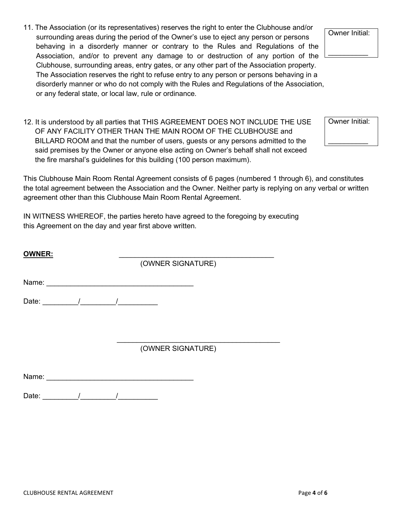- 11. The Association (or its representatives) reserves the right to enter the Clubhouse and/or surrounding areas during the period of the Owner's use to eject any person or persons behaving in a disorderly manner or contrary to the Rules and Regulations of the Association, and/or to prevent any damage to or destruction of any portion of the Clubhouse, surrounding areas, entry gates, or any other part of the Association property. The Association reserves the right to refuse entry to any person or persons behaving in a disorderly manner or who do not comply with the Rules and Regulations of the Association, or any federal state, or local law, rule or ordinance.
- 12. It is understood by all parties that THIS AGREEMENT DOES NOT INCLUDE THE USE OF ANY FACILITY OTHER THAN THE MAIN ROOM OF THE CLUBHOUSE and BILLARD ROOM and that the number of users, guests or any persons admitted to the said premises by the Owner or anyone else acting on Owner's behalf shall not exceed the fire marshal's guidelines for this building (100 person maximum).

This Clubhouse Main Room Rental Agreement consists of 6 pages (numbered 1 through 6), and constitutes the total agreement between the Association and the Owner. Neither party is replying on any verbal or written agreement other than this Clubhouse Main Room Rental Agreement.

IN WITNESS WHEREOF, the parties hereto have agreed to the foregoing by executing this Agreement on the day and year first above written.

Name:  $\blacksquare$ 

Date: \_\_\_\_\_\_\_\_\_/\_\_\_\_\_\_\_\_\_/\_\_\_\_\_\_\_\_\_\_

**OWNER:** 

(OWNER SIGNATURE)

(OWNER SIGNATURE)

Name:  $\blacksquare$ 

Date: \_\_\_\_\_\_\_\_\_/\_\_\_\_\_\_\_\_\_/\_\_\_\_\_\_\_\_\_\_

Owner Initial:

 $\overline{\phantom{a}}$  , where  $\overline{\phantom{a}}$ 

Owner Initial:

 $\overline{\phantom{a}}$  , where  $\overline{\phantom{a}}$ 

 $\frac{1}{2}$  , and the set of the set of the set of the set of the set of the set of the set of the set of the set of the set of the set of the set of the set of the set of the set of the set of the set of the set of the set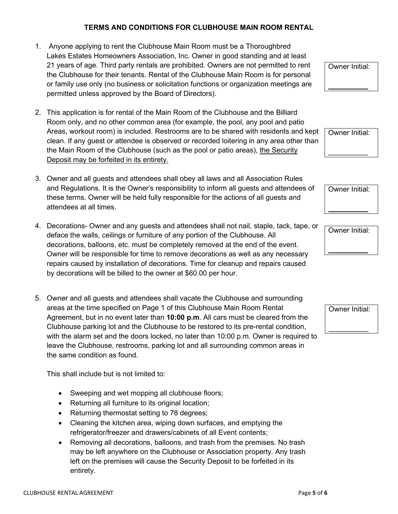#### **TERMS AND CONDITIONS FOR CLUBHOUSE MAIN ROOM RENTAL**

- 1. Anyone applying to rent the Clubhouse Main Room must be a Thoroughbred Lakes Estates Homeowners Association, Inc. Owner in good standing and at least 21 years of age. Third party rentals are prohibited. Owners are not permitted to rent the Clubhouse for their tenants. Rental of the Clubhouse Main Room is for personal or family use only (no business or solicitation functions or organization meetings are permitted unless approved by the Board of Directors).
- 2. This application is for rental of the Main Room of the Clubhouse and the Billiard Room only, and no other common area (for example, the pool, any pool and patio Areas, workout room) is included. Restrooms are to be shared with residents and kept clean. If any guest or attendee is observed or recorded loitering in any area other than the Main Room of the Clubhouse (such as the pool or patio areas), the Security Deposit may be forfeited in its entirety.
- 3. Owner and all guests and attendees shall obey all laws and all Association Rules and Regulations. It is the Owner's responsibility to inform all guests and attendees of these terms. Owner will be held fully responsible for the actions of all guests and attendees at all times.
- 4. Decorations- Owner and any guests and attendees shall not nail, staple, tack, tape, or deface the walls, ceilings or furniture of any portion of the Clubhouse. All decorations, balloons, etc. must be completely removed at the end of the event. Owner will be responsible for time to remove decorations as well as any necessary repairs caused by installation of decorations. Time for cleanup and repairs caused by decorations will be billed to the owner at \$60.00 per hour.
- 5. Owner and all guests and attendees shall vacate the Clubhouse and surrounding areas at the time specified on Page 1 of this Clubhouse Main Room Rental Agreement, but in no event later than **10:00 p.m**. All cars must be cleared from the Clubhouse parking lot and the Clubhouse to be restored to its pre-rental condition, with the alarm set and the doors locked, no later than 10:00 p.m. Owner is required to leave the Clubhouse, restrooms, parking lot and all surrounding common areas in the same condition as found.

This shall include but is not limited to:

- Sweeping and wet mopping all clubhouse floors;
- Returning all furniture to its original location;
- Returning thermostat setting to 78 degrees;
- Cleaning the kitchen area, wiping down surfaces, and emptying the refrigerator/freezer and drawers/cabinets of all Event contents;
- Removing all decorations, balloons, and trash from the premises. No trash may be left anywhere on the Clubhouse or Association property. Any trash left on the premises will cause the Security Deposit to be forfeited in its entirety.

CLUBHOUSE RENTAL AGREEMENT Page **5** of **6**

Owner Initial:

 $\frac{1}{2}$ 

Owner Initial:

 $\mathcal{L}_\text{max}$ 

Owner Initial:

 $\frac{1}{2}$ 

Owner Initial:

Owner Initial:

 $\frac{1}{2}$ 

 $\mathcal{L}_\text{max}$